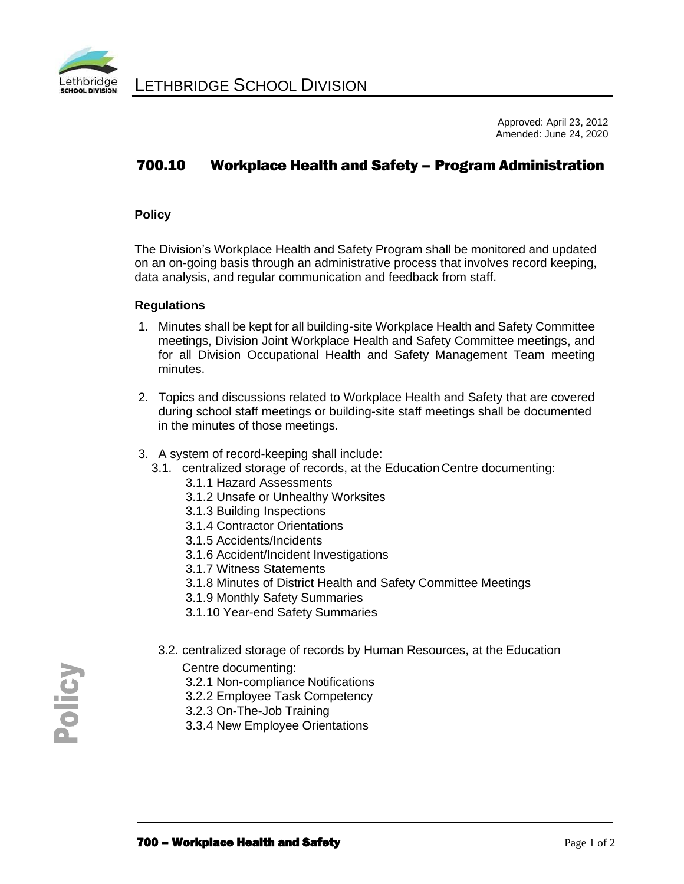

Approved: April 23, 2012 Amended: June 24, 2020

# 700.10 Workplace Health and Safety – Program Administration

## **Policy**

The Division's Workplace Health and Safety Program shall be monitored and updated on an on-going basis through an administrative process that involves record keeping, data analysis, and regular communication and feedback from staff.

#### **Regulations**

- 1. Minutes shall be kept for all building-site Workplace Health and Safety Committee meetings, Division Joint Workplace Health and Safety Committee meetings, and for all Division Occupational Health and Safety Management Team meeting minutes.
- 2. Topics and discussions related to Workplace Health and Safety that are covered during school staff meetings or building-site staff meetings shall be documented in the minutes of those meetings.
- 3. A system of record-keeping shall include:
	- 3.1. centralized storage of records, at the Education Centre documenting:
		- 3.1.1 Hazard Assessments
		- 3.1.2 Unsafe or Unhealthy Worksites
		- 3.1.3 Building Inspections
		- 3.1.4 Contractor Orientations
		- 3.1.5 Accidents/Incidents
		- 3.1.6 Accident/Incident Investigations
		- 3.1.7 Witness Statements
		- 3.1.8 Minutes of District Health and Safety Committee Meetings
		- 3.1.9 Monthly Safety Summaries
		- 3.1.10 Year-end Safety Summaries
	- 3.2. centralized storage of records by Human Resources, at the Education

Centre documenting:

- 3.2.1 Non-compliance Notifications
- 3.2.2 Employee Task Competency
- 3.2.3 On-The-Job Training
- 3.3.4 New Employee Orientations